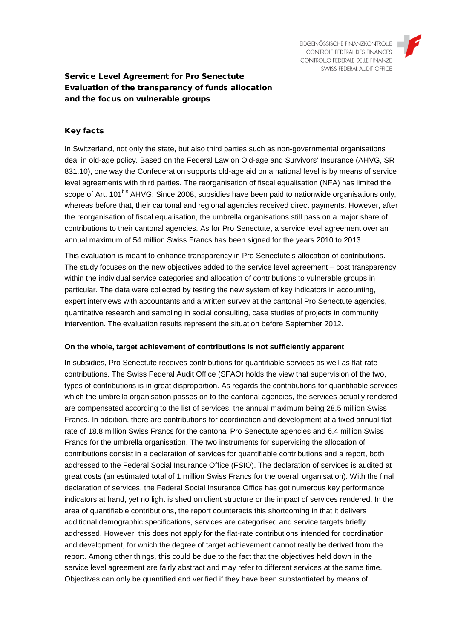

# Service Level Agreement for Pro Senectute Evaluation of the transparency of funds allocation and the focus on vulnerable groups

## Key facts

In Switzerland, not only the state, but also third parties such as non-governmental organisations deal in old-age policy. Based on the Federal Law on Old-age and Survivors' Insurance (AHVG, SR 831.10), one way the Confederation supports old-age aid on a national level is by means of service level agreements with third parties. The reorganisation of fiscal equalisation (NFA) has limited the scope of Art. 101<sup>bis</sup> AHVG: Since 2008, subsidies have been paid to nationwide organisations only, whereas before that, their cantonal and regional agencies received direct payments. However, after the reorganisation of fiscal equalisation, the umbrella organisations still pass on a major share of contributions to their cantonal agencies. As for Pro Senectute, a service level agreement over an annual maximum of 54 million Swiss Francs has been signed for the years 2010 to 2013.

This evaluation is meant to enhance transparency in Pro Senectute's allocation of contributions. The study focuses on the new objectives added to the service level agreement – cost transparency within the individual service categories and allocation of contributions to vulnerable groups in particular. The data were collected by testing the new system of key indicators in accounting, expert interviews with accountants and a written survey at the cantonal Pro Senectute agencies, quantitative research and sampling in social consulting, case studies of projects in community intervention. The evaluation results represent the situation before September 2012.

## **On the whole, target achievement of contributions is not sufficiently apparent**

In subsidies, Pro Senectute receives contributions for quantifiable services as well as flat-rate contributions. The Swiss Federal Audit Office (SFAO) holds the view that supervision of the two, types of contributions is in great disproportion. As regards the contributions for quantifiable services which the umbrella organisation passes on to the cantonal agencies, the services actually rendered are compensated according to the list of services, the annual maximum being 28.5 million Swiss Francs. In addition, there are contributions for coordination and development at a fixed annual flat rate of 18.8 million Swiss Francs for the cantonal Pro Senectute agencies and 6.4 million Swiss Francs for the umbrella organisation. The two instruments for supervising the allocation of contributions consist in a declaration of services for quantifiable contributions and a report, both addressed to the Federal Social Insurance Office (FSIO). The declaration of services is audited at great costs (an estimated total of 1 million Swiss Francs for the overall organisation). With the final declaration of services, the Federal Social Insurance Office has got numerous key performance indicators at hand, yet no light is shed on client structure or the impact of services rendered. In the area of quantifiable contributions, the report counteracts this shortcoming in that it delivers additional demographic specifications, services are categorised and service targets briefly addressed. However, this does not apply for the flat-rate contributions intended for coordination and development, for which the degree of target achievement cannot really be derived from the report. Among other things, this could be due to the fact that the objectives held down in the service level agreement are fairly abstract and may refer to different services at the same time. Objectives can only be quantified and verified if they have been substantiated by means of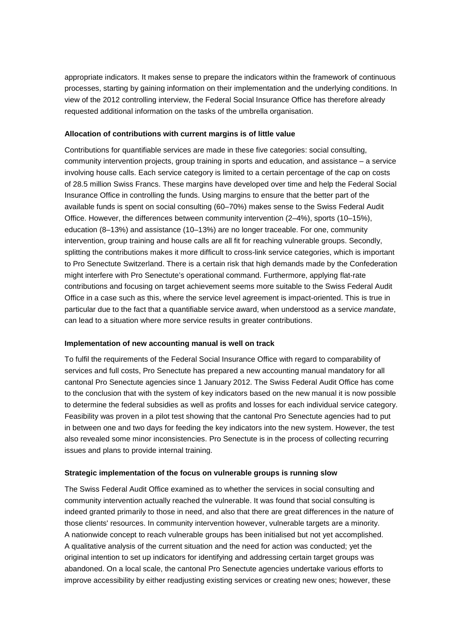appropriate indicators. It makes sense to prepare the indicators within the framework of continuous processes, starting by gaining information on their implementation and the underlying conditions. In view of the 2012 controlling interview, the Federal Social Insurance Office has therefore already requested additional information on the tasks of the umbrella organisation.

### **Allocation of contributions with current margins is of little value**

Contributions for quantifiable services are made in these five categories: social consulting, community intervention projects, group training in sports and education, and assistance – a service involving house calls. Each service category is limited to a certain percentage of the cap on costs of 28.5 million Swiss Francs. These margins have developed over time and help the Federal Social Insurance Office in controlling the funds. Using margins to ensure that the better part of the available funds is spent on social consulting (60–70%) makes sense to the Swiss Federal Audit Office. However, the differences between community intervention (2–4%), sports (10–15%), education (8–13%) and assistance (10–13%) are no longer traceable. For one, community intervention, group training and house calls are all fit for reaching vulnerable groups. Secondly, splitting the contributions makes it more difficult to cross-link service categories, which is important to Pro Senectute Switzerland. There is a certain risk that high demands made by the Confederation might interfere with Pro Senectute's operational command. Furthermore, applying flat-rate contributions and focusing on target achievement seems more suitable to the Swiss Federal Audit Office in a case such as this, where the service level agreement is impact-oriented. This is true in particular due to the fact that a quantifiable service award, when understood as a service *mandate*, can lead to a situation where more service results in greater contributions.

## **Implementation of new accounting manual is well on track**

To fulfil the requirements of the Federal Social Insurance Office with regard to comparability of services and full costs, Pro Senectute has prepared a new accounting manual mandatory for all cantonal Pro Senectute agencies since 1 January 2012. The Swiss Federal Audit Office has come to the conclusion that with the system of key indicators based on the new manual it is now possible to determine the federal subsidies as well as profits and losses for each individual service category. Feasibility was proven in a pilot test showing that the cantonal Pro Senectute agencies had to put in between one and two days for feeding the key indicators into the new system. However, the test also revealed some minor inconsistencies. Pro Senectute is in the process of collecting recurring issues and plans to provide internal training.

#### **Strategic implementation of the focus on vulnerable groups is running slow**

The Swiss Federal Audit Office examined as to whether the services in social consulting and community intervention actually reached the vulnerable. It was found that social consulting is indeed granted primarily to those in need, and also that there are great differences in the nature of those clients' resources. In community intervention however, vulnerable targets are a minority. A nationwide concept to reach vulnerable groups has been initialised but not yet accomplished. A qualitative analysis of the current situation and the need for action was conducted; yet the original intention to set up indicators for identifying and addressing certain target groups was abandoned. On a local scale, the cantonal Pro Senectute agencies undertake various efforts to improve accessibility by either readjusting existing services or creating new ones; however, these